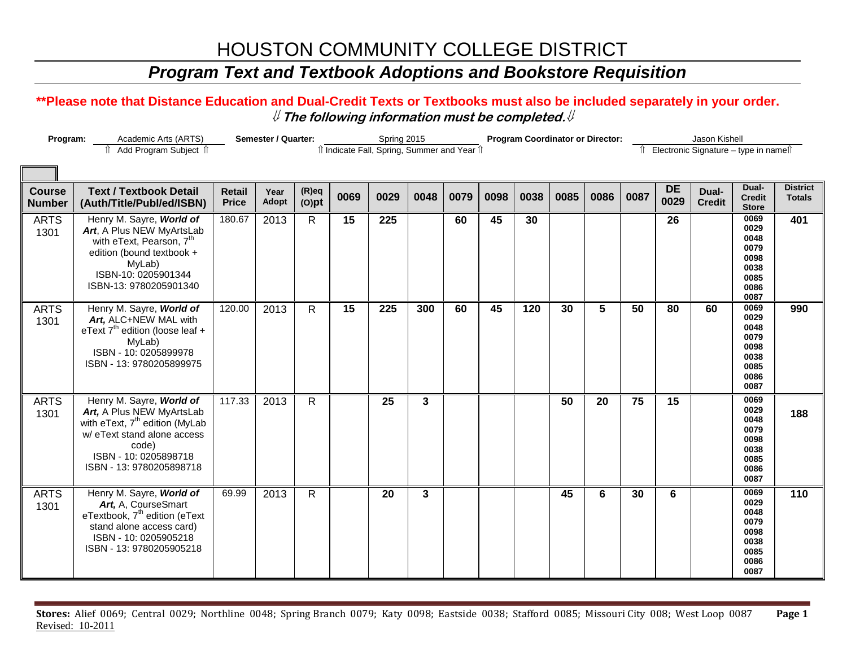### *Program Text and Textbook Adoptions and Bookstore Requisition*

| Program:<br>Academic Arts (ARTS)<br>↑ Add Program Subject ↑ |                                                                                                                                                                                                  | Semester / Quarter:                        | Spring 2015   |                      |      | <b>Program Coordinator or Director:</b> |      |      |      |      |                 | Jason Kishell  |                                      |                   |                        |                                                                      |                                  |
|-------------------------------------------------------------|--------------------------------------------------------------------------------------------------------------------------------------------------------------------------------------------------|--------------------------------------------|---------------|----------------------|------|-----------------------------------------|------|------|------|------|-----------------|----------------|--------------------------------------|-------------------|------------------------|----------------------------------------------------------------------|----------------------------------|
|                                                             |                                                                                                                                                                                                  | î Indicate Fall, Spring, Summer and Year î |               |                      |      |                                         |      |      |      | ⇑    |                 |                | Electronic Signature - type in names |                   |                        |                                                                      |                                  |
|                                                             |                                                                                                                                                                                                  |                                            |               |                      |      |                                         |      |      |      |      |                 |                |                                      |                   |                        |                                                                      |                                  |
| <b>Course</b><br><b>Number</b>                              | <b>Text / Textbook Detail</b><br>(Auth/Title/Publ/ed/ISBN)                                                                                                                                       | <b>Retail</b><br><b>Price</b>              | Year<br>Adopt | $(R)$ eq<br>$(O)$ pt | 0069 | 0029                                    | 0048 | 0079 | 0098 | 0038 | 0085            | 0086           | 0087                                 | <b>DE</b><br>0029 | Dual-<br><b>Credit</b> | Dual-<br><b>Credit</b><br><b>Store</b>                               | <b>District</b><br><b>Totals</b> |
| <b>ARTS</b><br>1301                                         | Henry M. Sayre, World of<br>Art, A Plus NEW MyArtsLab<br>with eText, Pearson, 7 <sup>th</sup><br>edition (bound textbook +<br>MyLab)<br>ISBN-10: 0205901344<br>ISBN-13: 9780205901340            | 180.67                                     | 2013          | $\mathsf{R}$         | 15   | 225                                     |      | 60   | 45   | 30   |                 |                |                                      | 26                |                        | 0069<br>0029<br>0048<br>0079<br>0098<br>0038<br>0085<br>0086<br>0087 | 401                              |
| <b>ARTS</b><br>1301                                         | Henry M. Sayre, World of<br>Art, ALC+NEW MAL with<br>eText $7^{th}$ edition (loose leaf +<br>MyLab)<br>ISBN - 10: 0205899978<br>ISBN - 13: 9780205899975                                         | 120.00                                     | 2013          | $\mathsf{R}$         | 15   | $\overline{225}$                        | 300  | 60   | 45   | 120  | 30              | $\overline{5}$ | 50                                   | 80                | 60                     | 0069<br>0029<br>0048<br>0079<br>0098<br>0038<br>0085<br>0086<br>0087 | 990                              |
| <b>ARTS</b><br>1301                                         | Henry M. Sayre, World of<br>Art, A Plus NEW MyArtsLab<br>with eText, 7 <sup>th</sup> edition (MyLab<br>w/ eText stand alone access<br>code)<br>ISBN - 10: 0205898718<br>ISBN - 13: 9780205898718 | 117.33                                     | 2013          | $\mathsf{R}$         |      | 25                                      | 3    |      |      |      | $\overline{50}$ | 20             | 75                                   | 15                |                        | 0069<br>0029<br>0048<br>0079<br>0098<br>0038<br>0085<br>0086<br>0087 | 188                              |
| <b>ARTS</b><br>1301                                         | Henry M. Sayre, World of<br>Art, A, CourseSmart<br>eTextbook, 7 <sup>th</sup> edition (eText<br>stand alone access card)<br>ISBN - 10: 0205905218<br>ISBN - 13: 9780205905218                    | 69.99                                      | 2013          | $\mathsf{R}$         |      | 20                                      | 3    |      |      |      | 45              | 6              | 30                                   | 6                 |                        | 0069<br>0029<br>0048<br>0079<br>0098<br>0038<br>0085<br>0086<br>0087 | 110                              |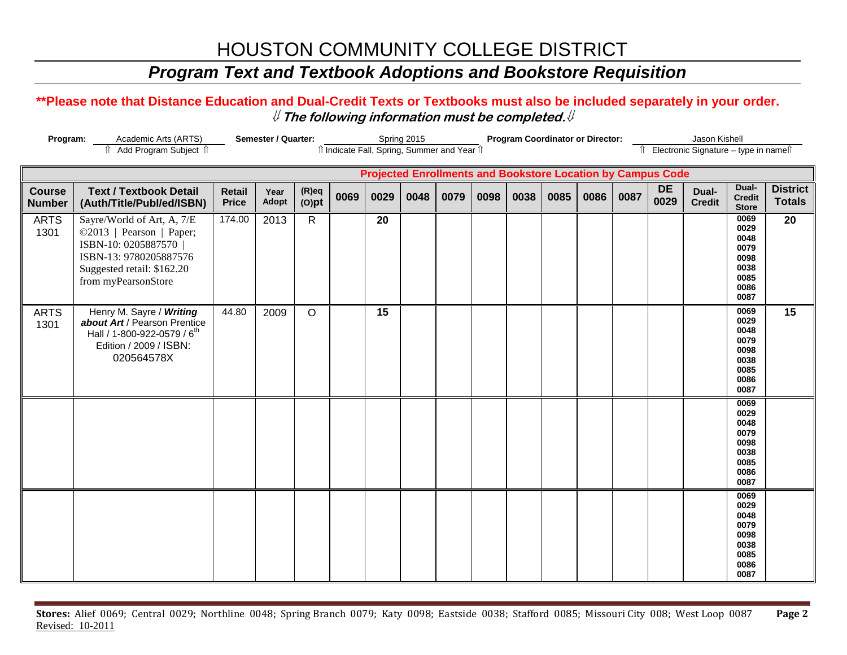### *Program Text and Textbook Adoptions and Bookstore Requisition*

| Program:                       |                                                                                                                                                                | <b>Semester / Quarter:</b>    |               | Spring 2015<br>îl Indicate Fall, Spring, Summer and Year îl |      |                 |      |      | <b>Program Coordinator or Director:</b> |      |      |      |      |                                                                    | Jason Kishell                          |                                                                      |                                  |
|--------------------------------|----------------------------------------------------------------------------------------------------------------------------------------------------------------|-------------------------------|---------------|-------------------------------------------------------------|------|-----------------|------|------|-----------------------------------------|------|------|------|------|--------------------------------------------------------------------|----------------------------------------|----------------------------------------------------------------------|----------------------------------|
| î Add Program Subject î        |                                                                                                                                                                |                               |               |                                                             |      |                 |      |      |                                         |      |      |      |      |                                                                    | î Electronic Signature – type in nameî |                                                                      |                                  |
|                                |                                                                                                                                                                |                               |               |                                                             |      |                 |      |      |                                         |      |      |      |      | <b>Projected Enrollments and Bookstore Location by Campus Code</b> |                                        |                                                                      |                                  |
| <b>Course</b><br><b>Number</b> | <b>Text / Textbook Detail</b><br>(Auth/Title/Publ/ed/ISBN)                                                                                                     | <b>Retail</b><br><b>Price</b> | Year<br>Adopt | $(R)$ eq<br>$(O)$ pt                                        | 0069 | 0029            | 0048 | 0079 | 0098                                    | 0038 | 0085 | 0086 | 0087 | <b>DE</b><br>0029                                                  | Dual-<br><b>Credit</b>                 | Dual-<br><b>Credit</b><br><b>Store</b>                               | <b>District</b><br><b>Totals</b> |
| <b>ARTS</b><br>1301            | Sayre/World of Art, A, 7/E<br>©2013   Pearson   Paper;<br>ISBN-10: 0205887570  <br>ISBN-13: 9780205887576<br>Suggested retail: \$162.20<br>from myPearsonStore | 174.00                        | 2013          | $\mathsf{R}$                                                |      | 20              |      |      |                                         |      |      |      |      |                                                                    |                                        | 0069<br>0029<br>0048<br>0079<br>0098<br>0038<br>0085<br>0086<br>0087 | $\overline{20}$                  |
| <b>ARTS</b><br>1301            | Henry M. Sayre / Writing<br>about Art / Pearson Prentice<br>Hall / 1-800-922-0579 / 6 <sup>th</sup><br>Edition / 2009 / ISBN:<br>020564578X                    | 44.80                         | 2009          | $\circ$                                                     |      | $\overline{15}$ |      |      |                                         |      |      |      |      |                                                                    |                                        | 0069<br>0029<br>0048<br>0079<br>0098<br>0038<br>0085<br>0086<br>0087 | 15                               |
|                                |                                                                                                                                                                |                               |               |                                                             |      |                 |      |      |                                         |      |      |      |      |                                                                    |                                        | 0069<br>0029<br>0048<br>0079<br>0098<br>0038<br>0085<br>0086<br>0087 |                                  |
|                                |                                                                                                                                                                |                               |               |                                                             |      |                 |      |      |                                         |      |      |      |      |                                                                    |                                        | 0069<br>0029<br>0048<br>0079<br>0098<br>0038<br>0085<br>0086<br>0087 |                                  |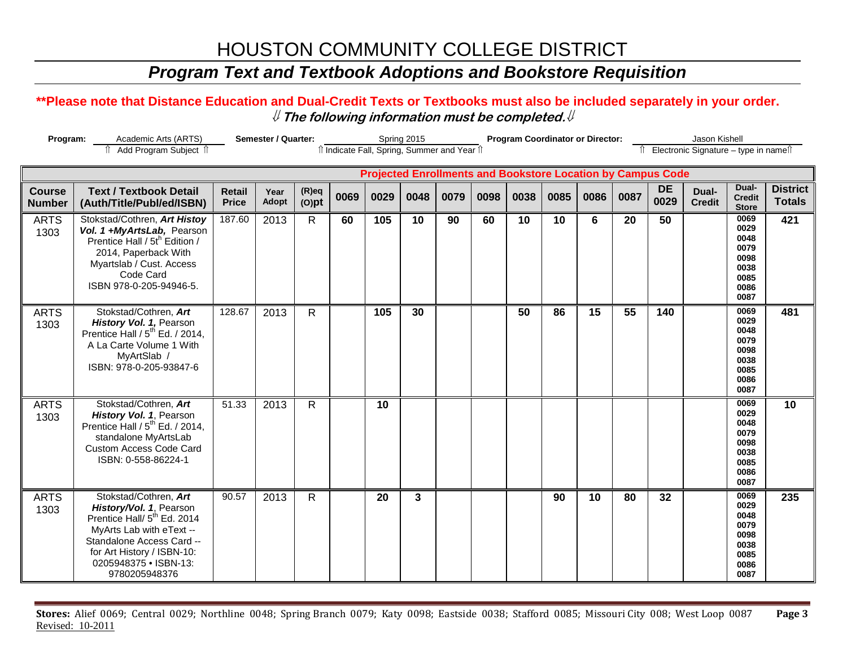## *Program Text and Textbook Adoptions and Bookstore Requisition*

### **\*\*Please note that Distance Education and Dual-Credit Texts or Textbooks must also be included separately in your order.**  ⇓ **The following information must be completed.**⇓

| Program:                       |                                                                                                                                                                                                                              | <b>Semester / Quarter:</b>                                                                                         |               | Spring 2015          |      |      |      | <b>Program Coordinator or Director:</b> |      |      |      |                                      |      | Jason Kishell     |                        |                                                                      |                                  |
|--------------------------------|------------------------------------------------------------------------------------------------------------------------------------------------------------------------------------------------------------------------------|--------------------------------------------------------------------------------------------------------------------|---------------|----------------------|------|------|------|-----------------------------------------|------|------|------|--------------------------------------|------|-------------------|------------------------|----------------------------------------------------------------------|----------------------------------|
|                                |                                                                                                                                                                                                                              | îl Indicate Fall, Spring, Summer and Year îl<br><b>Projected Enrollments and Bookstore Location by Campus Code</b> |               |                      |      |      |      |                                         |      |      |      | Electronic Signature - type in names |      |                   |                        |                                                                      |                                  |
|                                |                                                                                                                                                                                                                              |                                                                                                                    |               |                      |      |      |      |                                         |      |      |      |                                      |      |                   |                        |                                                                      |                                  |
| <b>Course</b><br><b>Number</b> | <b>Text / Textbook Detail</b><br>(Auth/Title/Publ/ed/ISBN)                                                                                                                                                                   | <b>Retail</b><br><b>Price</b>                                                                                      | Year<br>Adopt | $(R)$ eq<br>$(O)$ pt | 0069 | 0029 | 0048 | 0079                                    | 0098 | 0038 | 0085 | 0086                                 | 0087 | <b>DE</b><br>0029 | Dual-<br><b>Credit</b> | Dual-<br><b>Credit</b><br><b>Store</b>                               | <b>District</b><br><b>Totals</b> |
| <b>ARTS</b><br>1303            | Stokstad/Cothren, Art Histoy<br>Vol. 1 +MyArtsLab, Pearson<br>Prentice Hall / 5t <sup>h</sup> Edition /<br>2014, Paperback With<br>Myartslab / Cust. Access<br>Code Card<br>ISBN 978-0-205-94946-5.                          | 187.60                                                                                                             | 2013          | $\mathsf{R}$         | 60   | 105  | 10   | 90                                      | 60   | 10   | 10   | 6                                    | 20   | 50                |                        | 0069<br>0029<br>0048<br>0079<br>0098<br>0038<br>0085<br>0086<br>0087 | 421                              |
| <b>ARTS</b><br>1303            | Stokstad/Cothren, Art<br>History Vol. 1, Pearson<br>Prentice Hall / 5 <sup>th</sup> Ed. / 2014,<br>A La Carte Volume 1 With<br>MyArtSlab /<br>ISBN: 978-0-205-93847-6                                                        | 128.67                                                                                                             | 2013          | $\mathsf{R}$         |      | 105  | 30   |                                         |      | 50   | 86   | 15                                   | 55   | 140               |                        | 0069<br>0029<br>0048<br>0079<br>0098<br>0038<br>0085<br>0086<br>0087 | 481                              |
| <b>ARTS</b><br>1303            | Stokstad/Cothren, Art<br>History Vol. 1, Pearson<br>Prentice Hall / 5 <sup>th</sup> Ed. / 2014,<br>standalone MyArtsLab<br><b>Custom Access Code Card</b><br>ISBN: 0-558-86224-1                                             | 51.33                                                                                                              | 2013          | $\mathsf{R}$         |      | 10   |      |                                         |      |      |      |                                      |      |                   |                        | 0069<br>0029<br>0048<br>0079<br>0098<br>0038<br>0085<br>0086<br>0087 | 10                               |
| <b>ARTS</b><br>1303            | Stokstad/Cothren, Art<br>History/Vol. 1, Pearson<br>Prentice Hall/ 5 <sup>th</sup> Ed. 2014<br>MyArts Lab with eText --<br>Standalone Access Card --<br>for Art History / ISBN-10:<br>0205948375 · ISBN-13:<br>9780205948376 | 90.57                                                                                                              | 2013          | $\mathsf{R}$         |      | 20   | 3    |                                         |      |      | 90   | 10                                   | 80   | 32                |                        | 0069<br>0029<br>0048<br>0079<br>0098<br>0038<br>0085<br>0086<br>0087 | 235                              |

**Stores:** Alief 0069; Central 0029; Northline 0048; Spring Branch 0079; Katy 0098; Eastside 0038; Stafford 0085; Missouri City 008; West Loop 0087 **Page 3** Revised: 10-2011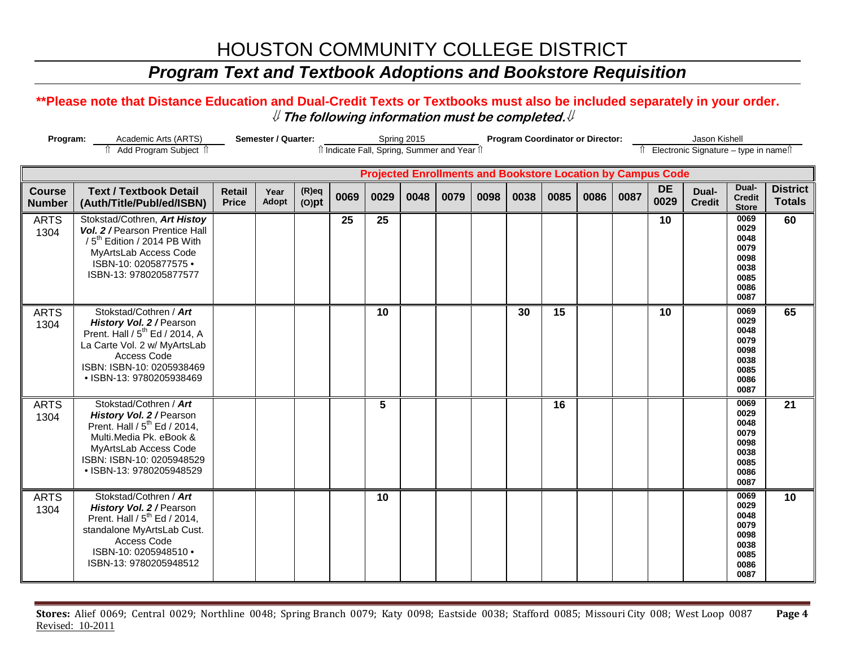### *Program Text and Textbook Adoptions and Bookstore Requisition*

### **\*\*Please note that Distance Education and Dual-Credit Texts or Textbooks must also be included separately in your order.**  ⇓ **The following information must be completed.**⇓

| Program:                       | Academic Arts (ARTS)                                                                                                                                                                                        |                               | Semester / Quarter:                                                                                                                                            |                      |      |      | Spring 2015 |      |      | <b>Program Coordinator or Director:</b> |      |      |      |                   | Jason Kishell          |                                                                      |                                  |
|--------------------------------|-------------------------------------------------------------------------------------------------------------------------------------------------------------------------------------------------------------|-------------------------------|----------------------------------------------------------------------------------------------------------------------------------------------------------------|----------------------|------|------|-------------|------|------|-----------------------------------------|------|------|------|-------------------|------------------------|----------------------------------------------------------------------|----------------------------------|
|                                | fî Add Program Subject îl                                                                                                                                                                                   |                               | îl Indicate Fall, Spring, Summer and Year îl<br>Îl Electronic Signature - type in nameîl<br><b>Projected Enrollments and Bookstore Location by Campus Code</b> |                      |      |      |             |      |      |                                         |      |      |      |                   |                        |                                                                      |                                  |
|                                |                                                                                                                                                                                                             |                               |                                                                                                                                                                |                      |      |      |             |      |      |                                         |      |      |      |                   |                        |                                                                      |                                  |
| <b>Course</b><br><b>Number</b> | <b>Text / Textbook Detail</b><br>(Auth/Title/Publ/ed/ISBN)                                                                                                                                                  | <b>Retail</b><br><b>Price</b> | Year<br><b>Adopt</b>                                                                                                                                           | $(R)$ eq<br>$(O)$ pt | 0069 | 0029 | 0048        | 0079 | 0098 | 0038                                    | 0085 | 0086 | 0087 | <b>DE</b><br>0029 | Dual-<br><b>Credit</b> | Dual-<br><b>Credit</b><br><b>Store</b>                               | <b>District</b><br><b>Totals</b> |
| <b>ARTS</b><br>1304            | Stokstad/Cothren, Art Histoy<br>Vol. 2 / Pearson Prentice Hall<br>/5 <sup>th</sup> Edition / 2014 PB With<br>MyArtsLab Access Code<br>ISBN-10: 0205877575 ·<br>ISBN-13: 9780205877577                       |                               |                                                                                                                                                                |                      | 25   | 25   |             |      |      |                                         |      |      |      | 10                |                        | 0069<br>0029<br>0048<br>0079<br>0098<br>0038<br>0085<br>0086<br>0087 | 60                               |
| <b>ARTS</b><br>1304            | Stokstad/Cothren / Art<br>History Vol. 2 / Pearson<br>Prent. Hall / 5 <sup>th</sup> Ed / 2014, A<br>La Carte Vol. 2 w/ MyArtsLab<br>Access Code<br>ISBN: ISBN-10: 0205938469<br>· ISBN-13: 9780205938469    |                               |                                                                                                                                                                |                      |      | 10   |             |      |      | 30                                      | 15   |      |      | 10                |                        | 0069<br>0029<br>0048<br>0079<br>0098<br>0038<br>0085<br>0086<br>0087 | 65                               |
| <b>ARTS</b><br>1304            | Stokstad/Cothren / Art<br>History Vol. 2 / Pearson<br>Prent. Hall / 5 <sup>th</sup> Ed / 2014,<br>Multi.Media Pk. eBook &<br>MyArtsLab Access Code<br>ISBN: ISBN-10: 0205948529<br>· ISBN-13: 9780205948529 |                               |                                                                                                                                                                |                      |      | 5    |             |      |      |                                         | 16   |      |      |                   |                        | 0069<br>0029<br>0048<br>0079<br>0098<br>0038<br>0085<br>0086<br>0087 | 21                               |
| <b>ARTS</b><br>1304            | Stokstad/Cothren / Art<br>History Vol. 2 / Pearson<br>Prent. Hall / 5 <sup>th</sup> Ed / 2014,<br>standalone MyArtsLab Cust.<br>Access Code<br>ISBN-10: 0205948510 .<br>ISBN-13: 9780205948512              |                               |                                                                                                                                                                |                      |      | 10   |             |      |      |                                         |      |      |      |                   |                        | 0069<br>0029<br>0048<br>0079<br>0098<br>0038<br>0085<br>0086<br>0087 | 10                               |

**Stores:** Alief 0069; Central 0029; Northline 0048; Spring Branch 0079; Katy 0098; Eastside 0038; Stafford 0085; Missouri City 008; West Loop 0087 **Page 4** Revised: 10-2011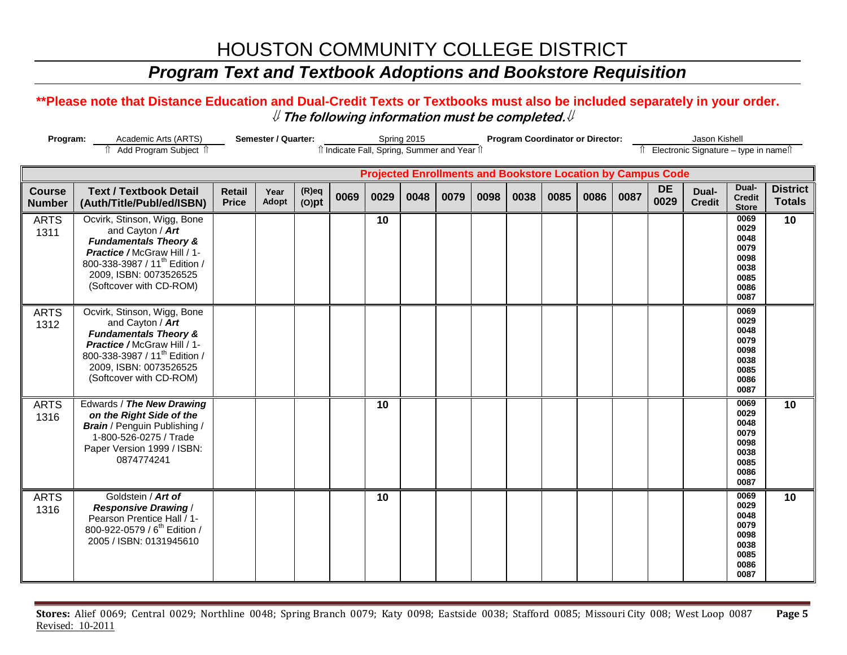### *Program Text and Textbook Adoptions and Bookstore Requisition*

| Program:<br>Academic Arts (ARTS) |                                                                                                                                                                                                                      |                                                                                                                                                             | <b>Semester / Quarter:</b><br>Spring 2015 |                      |      |      |      |      | <b>Program Coordinator or Director:</b> |      |      |      |      |                   | Jason Kishell          |                                                                      |                                  |  |
|----------------------------------|----------------------------------------------------------------------------------------------------------------------------------------------------------------------------------------------------------------------|-------------------------------------------------------------------------------------------------------------------------------------------------------------|-------------------------------------------|----------------------|------|------|------|------|-----------------------------------------|------|------|------|------|-------------------|------------------------|----------------------------------------------------------------------|----------------------------------|--|
|                                  | î Add Program Subject î                                                                                                                                                                                              | îl Indicate Fall, Spring, Summer and Year îl<br>↑ Electronic Signature – type in name<br><b>Projected Enrollments and Bookstore Location by Campus Code</b> |                                           |                      |      |      |      |      |                                         |      |      |      |      |                   |                        |                                                                      |                                  |  |
|                                  |                                                                                                                                                                                                                      |                                                                                                                                                             |                                           |                      |      |      |      |      |                                         |      |      |      |      |                   |                        |                                                                      |                                  |  |
| <b>Course</b><br><b>Number</b>   | <b>Text / Textbook Detail</b><br>(Auth/Title/Publ/ed/ISBN)                                                                                                                                                           | <b>Retail</b><br><b>Price</b>                                                                                                                               | Year<br>Adopt                             | $(R)$ eq<br>$(O)$ pt | 0069 | 0029 | 0048 | 0079 | 0098                                    | 0038 | 0085 | 0086 | 0087 | <b>DE</b><br>0029 | Dual-<br><b>Credit</b> | Dual-<br><b>Credit</b><br><b>Store</b>                               | <b>District</b><br><b>Totals</b> |  |
| <b>ARTS</b><br>1311              | Ocvirk, Stinson, Wigg, Bone<br>and Cayton / Art<br><b>Fundamentals Theory &amp;</b><br>Practice / McGraw Hill / 1-<br>800-338-3987 / 11 <sup>th</sup> Edition /<br>2009, ISBN: 0073526525<br>(Softcover with CD-ROM) |                                                                                                                                                             |                                           |                      |      | 10   |      |      |                                         |      |      |      |      |                   |                        | 0069<br>0029<br>0048<br>0079<br>0098<br>0038<br>0085<br>0086<br>0087 | 10                               |  |
| <b>ARTS</b><br>1312              | Ocvirk, Stinson, Wigg, Bone<br>and Cayton / Art<br><b>Fundamentals Theory &amp;</b><br>Practice / McGraw Hill / 1-<br>800-338-3987 / 11 <sup>th</sup> Edition /<br>2009, ISBN: 0073526525<br>(Softcover with CD-ROM) |                                                                                                                                                             |                                           |                      |      |      |      |      |                                         |      |      |      |      |                   |                        | 0069<br>0029<br>0048<br>0079<br>0098<br>0038<br>0085<br>0086<br>0087 |                                  |  |
| <b>ARTS</b><br>1316              | Edwards / The New Drawing<br>on the Right Side of the<br><b>Brain</b> / Penguin Publishing /<br>1-800-526-0275 / Trade<br>Paper Version 1999 / ISBN:<br>0874774241                                                   |                                                                                                                                                             |                                           |                      |      | 10   |      |      |                                         |      |      |      |      |                   |                        | 0069<br>0029<br>0048<br>0079<br>0098<br>0038<br>0085<br>0086<br>0087 | 10                               |  |
| <b>ARTS</b><br>1316              | Goldstein / Art of<br><b>Responsive Drawing /</b><br>Pearson Prentice Hall / 1-<br>800-922-0579 / 6 <sup>th</sup> Edition /<br>2005 / ISBN: 0131945610                                                               |                                                                                                                                                             |                                           |                      |      | 10   |      |      |                                         |      |      |      |      |                   |                        | 0069<br>0029<br>0048<br>0079<br>0098<br>0038<br>0085<br>0086<br>0087 | 10                               |  |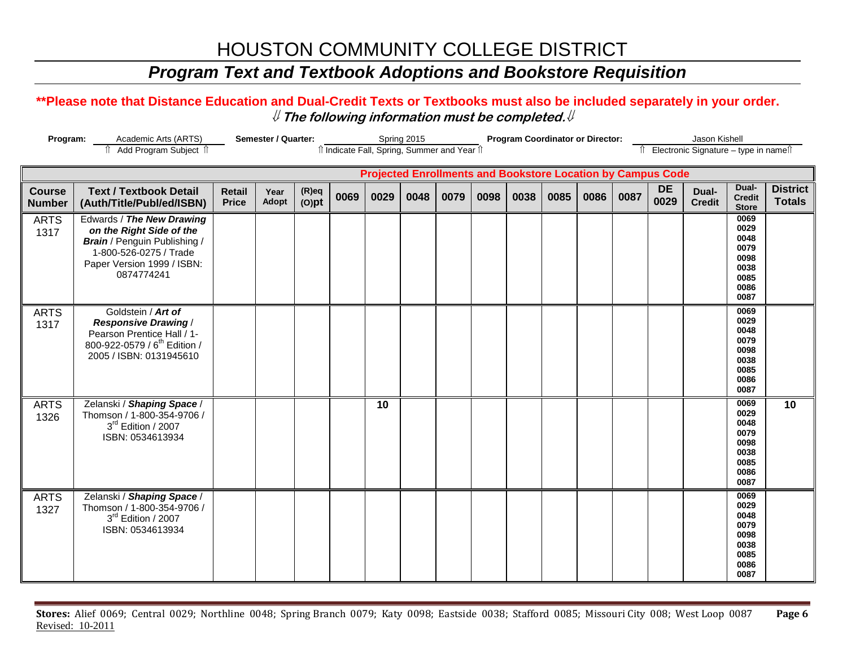## *Program Text and Textbook Adoptions and Bookstore Requisition*

| Program:                       | Academic Arts (ARTS)<br>Add Program Subject 1                                                                                                                      | <b>Semester / Quarter:</b><br><b>Program Coordinator or Director:</b><br>Jason Kishell<br>Spring 2015<br>îl Indicate Fall, Spring, Summer and Year îl<br>Îl Electronic Signature - type in nameîl |               |                      |      |      |      |      |      |      |      |      |      |                                                                    |                        |                                                                      |                                  |
|--------------------------------|--------------------------------------------------------------------------------------------------------------------------------------------------------------------|---------------------------------------------------------------------------------------------------------------------------------------------------------------------------------------------------|---------------|----------------------|------|------|------|------|------|------|------|------|------|--------------------------------------------------------------------|------------------------|----------------------------------------------------------------------|----------------------------------|
|                                |                                                                                                                                                                    |                                                                                                                                                                                                   |               |                      |      |      |      |      |      |      |      |      |      | <b>Projected Enrollments and Bookstore Location by Campus Code</b> |                        |                                                                      |                                  |
| <b>Course</b><br><b>Number</b> | <b>Text / Textbook Detail</b><br>(Auth/Title/Publ/ed/ISBN)                                                                                                         | <b>Retail</b><br><b>Price</b>                                                                                                                                                                     | Year<br>Adopt | $(R)$ eq<br>$(O)$ pt | 0069 | 0029 | 0048 | 0079 | 0098 | 0038 | 0085 | 0086 | 0087 | DE<br>0029                                                         | Dual-<br><b>Credit</b> | Dual-<br><b>Credit</b><br><b>Store</b>                               | <b>District</b><br><b>Totals</b> |
| <b>ARTS</b><br>1317            | Edwards / The New Drawing<br>on the Right Side of the<br><b>Brain</b> / Penguin Publishing /<br>1-800-526-0275 / Trade<br>Paper Version 1999 / ISBN:<br>0874774241 |                                                                                                                                                                                                   |               |                      |      |      |      |      |      |      |      |      |      |                                                                    |                        | 0069<br>0029<br>0048<br>0079<br>0098<br>0038<br>0085<br>0086<br>0087 |                                  |
| <b>ARTS</b><br>1317            | Goldstein / Art of<br><b>Responsive Drawing /</b><br>Pearson Prentice Hall / 1-<br>800-922-0579 / 6 <sup>th</sup> Edition /<br>2005 / ISBN: 0131945610             |                                                                                                                                                                                                   |               |                      |      |      |      |      |      |      |      |      |      |                                                                    |                        | 0069<br>0029<br>0048<br>0079<br>0098<br>0038<br>0085<br>0086<br>0087 |                                  |
| <b>ARTS</b><br>1326            | Zelanski / Shaping Space /<br>Thomson / 1-800-354-9706 /<br>3rd Edition / 2007<br>ISBN: 0534613934                                                                 |                                                                                                                                                                                                   |               |                      |      | 10   |      |      |      |      |      |      |      |                                                                    |                        | 0069<br>0029<br>0048<br>0079<br>0098<br>0038<br>0085<br>0086<br>0087 | 10                               |
| <b>ARTS</b><br>1327            | Zelanski / Shaping Space /<br>Thomson / 1-800-354-9706 /<br>3rd Edition / 2007<br>ISBN: 0534613934                                                                 |                                                                                                                                                                                                   |               |                      |      |      |      |      |      |      |      |      |      |                                                                    |                        | 0069<br>0029<br>0048<br>0079<br>0098<br>0038<br>0085<br>0086<br>0087 |                                  |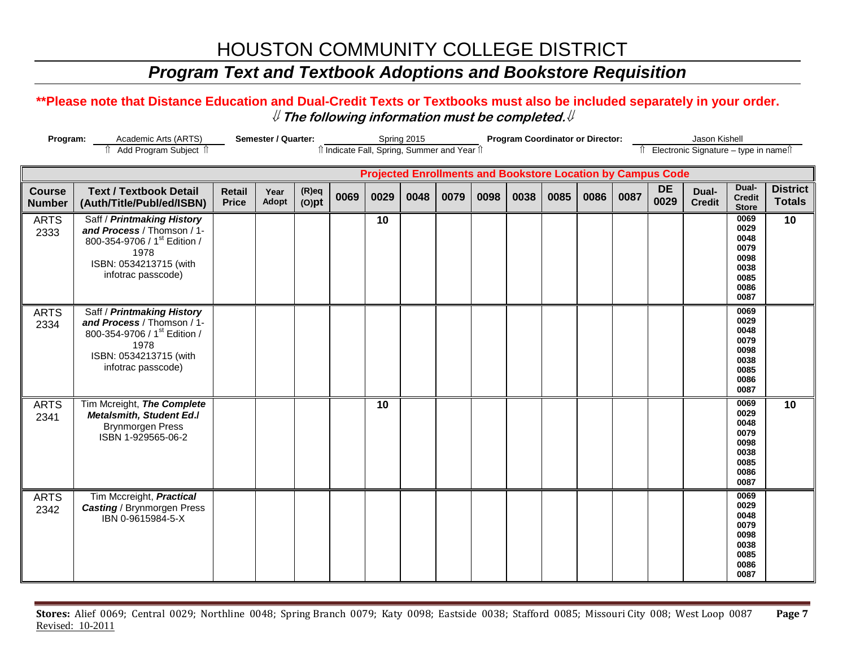## *Program Text and Textbook Adoptions and Bookstore Requisition*

| Program:                       | <b>Semester / Quarter:</b><br>Spring 2015<br>î Add Program Subject î<br>îl Indicate Fall, Spring, Summer and Year îl                             |                               |               |                      |      |      |      | <b>Program Coordinator or Director:</b> |      |      |      |                                        |      | Jason Kishell                                                      |                        |                                                                      |                                  |
|--------------------------------|--------------------------------------------------------------------------------------------------------------------------------------------------|-------------------------------|---------------|----------------------|------|------|------|-----------------------------------------|------|------|------|----------------------------------------|------|--------------------------------------------------------------------|------------------------|----------------------------------------------------------------------|----------------------------------|
|                                |                                                                                                                                                  |                               |               |                      |      |      |      |                                         |      |      |      | î Electronic Signature - type in nameî |      |                                                                    |                        |                                                                      |                                  |
|                                |                                                                                                                                                  |                               |               |                      |      |      |      |                                         |      |      |      |                                        |      | <b>Projected Enrollments and Bookstore Location by Campus Code</b> |                        |                                                                      |                                  |
| <b>Course</b><br><b>Number</b> | <b>Text / Textbook Detail</b><br>(Auth/Title/Publ/ed/ISBN)                                                                                       | <b>Retail</b><br><b>Price</b> | Year<br>Adopt | $(R)$ eq<br>$(O)$ pt | 0069 | 0029 | 0048 | 0079                                    | 0098 | 0038 | 0085 | 0086                                   | 0087 | <b>DE</b><br>0029                                                  | Dual-<br><b>Credit</b> | Dual-<br><b>Credit</b><br><b>Store</b>                               | <b>District</b><br><b>Totals</b> |
| <b>ARTS</b><br>2333            | Saff / Printmaking History<br>and Process / Thomson / 1-<br>800-354-9706 / 1st Edition /<br>1978<br>ISBN: 0534213715 (with<br>infotrac passcode) |                               |               |                      |      | 10   |      |                                         |      |      |      |                                        |      |                                                                    |                        | 0069<br>0029<br>0048<br>0079<br>0098<br>0038<br>0085<br>0086<br>0087 | 10 <sup>°</sup>                  |
| <b>ARTS</b><br>2334            | Saff / Printmaking History<br>and Process / Thomson / 1-<br>800-354-9706 / 1st Edition /<br>1978<br>ISBN: 0534213715 (with<br>infotrac passcode) |                               |               |                      |      |      |      |                                         |      |      |      |                                        |      |                                                                    |                        | 0069<br>0029<br>0048<br>0079<br>0098<br>0038<br>0085<br>0086<br>0087 |                                  |
| <b>ARTS</b><br>2341            | Tim Mcreight, The Complete<br><b>Metalsmith, Student Ed./</b><br><b>Brynmorgen Press</b><br>ISBN 1-929565-06-2                                   |                               |               |                      |      | 10   |      |                                         |      |      |      |                                        |      |                                                                    |                        | 0069<br>0029<br>0048<br>0079<br>0098<br>0038<br>0085<br>0086<br>0087 | 10                               |
| <b>ARTS</b><br>2342            | Tim Mccreight, Practical<br><b>Casting / Brynmorgen Press</b><br>IBN 0-9615984-5-X                                                               |                               |               |                      |      |      |      |                                         |      |      |      |                                        |      |                                                                    |                        | 0069<br>0029<br>0048<br>0079<br>0098<br>0038<br>0085<br>0086<br>0087 |                                  |